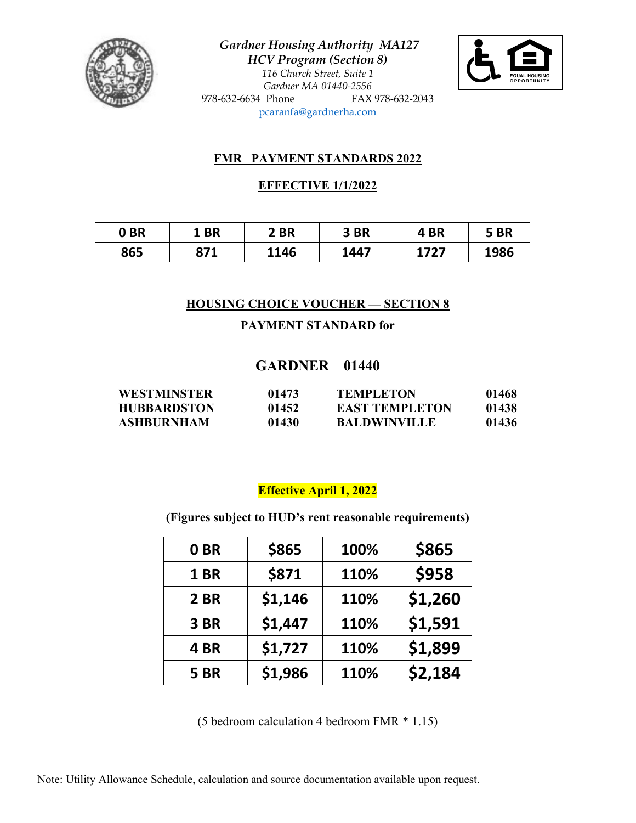

*Gardner Housing Authority MA127 HCV Program (Section 8) 116 Church Street, Suite 1 Gardner MA 01440-2556* 978-632-6634 Phone FAX 978-632-2043 [pcaranfa@gardnerha.com](mailto:pcaranfa@gardnerha.com)



## **FMR PAYMENT STANDARDS 2022**

## **EFFECTIVE 1/1/2022**

| 0 <sub>BR</sub> | <b>BR</b> | 2 BR | 3BR  | 4 BR | 5BR  |
|-----------------|-----------|------|------|------|------|
| 865             | 871       | 1146 | 1447 | 1727 | 1986 |

## **HOUSING CHOICE VOUCHER — SECTION 8**

## **PAYMENT STANDARD for**

# **GARDNER 01440**

| <b>WESTMINSTER</b> | 01473 | <b>TEMPLETON</b>      | 01468 |
|--------------------|-------|-----------------------|-------|
| <b>HUBBARDSTON</b> | 01452 | <b>EAST TEMPLETON</b> | 01438 |
| <b>ASHBURNHAM</b>  | 01430 | <b>BALDWINVILLE</b>   | 01436 |

# **Effective April 1, 2022**

**(Figures subject to HUD's rent reasonable requirements)**

| 0BR         | \$865   | 100% | \$865   |
|-------------|---------|------|---------|
| 1BR         | \$871   | 110% | \$958   |
| 2 BR        | \$1,146 | 110% | \$1,260 |
| 3BR         | \$1,447 | 110% | \$1,591 |
| 4BR         | \$1,727 | 110% | \$1,899 |
| <b>5 BR</b> | \$1,986 | 110% | \$2,184 |

(5 bedroom calculation 4 bedroom FMR \* 1.15)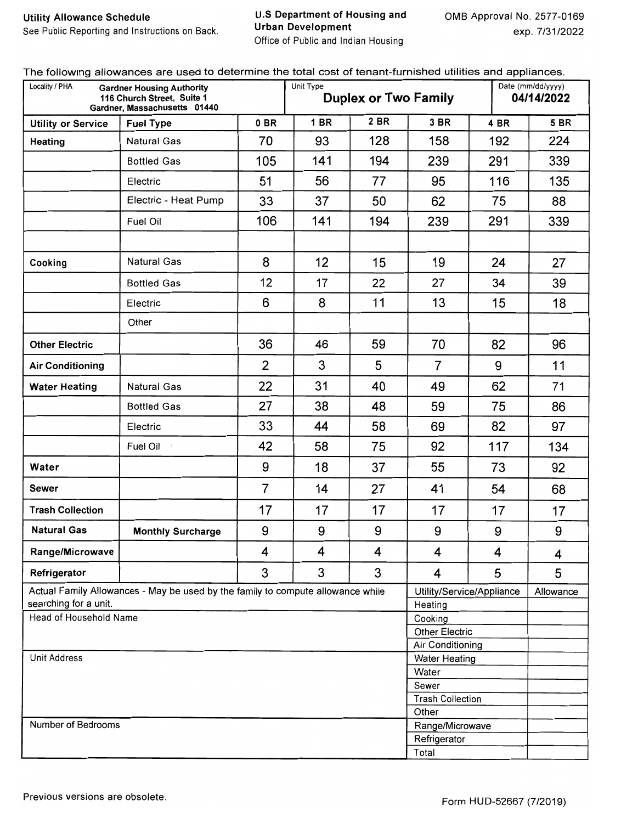**U.S Department of Housing and Urban Development** Office of Public and Indian Housing

| Locality / PHA                                  | <b>Gardner Housing Authority</b><br>116 Church Street, Suite 1<br>Gardner, Massachusetts 01440 |                | Unit Type   | <b>Duplex or Two Family</b> |                               | Date (mm/dd/yyyy)<br>04/14/2022 |             |  |
|-------------------------------------------------|------------------------------------------------------------------------------------------------|----------------|-------------|-----------------------------|-------------------------------|---------------------------------|-------------|--|
| <b>Utility or Service</b>                       | <b>Fuel Type</b>                                                                               | 0BR            | <b>1 BR</b> | 2 BR                        | 3 BR                          | 4 BR                            | <b>5 BR</b> |  |
| Heating                                         | Natural Gas                                                                                    | 70             | 93          | 128                         | 158                           | 192                             | 224         |  |
|                                                 | <b>Bottled Gas</b>                                                                             | 105            | 141         | 194                         | 239                           | 291                             | 339         |  |
|                                                 | Electric                                                                                       | 51             | 56          | 77                          | 95                            | 116                             | 135         |  |
|                                                 | Electric - Heat Pump                                                                           | 33             | 37          | 50                          | 62                            | 75                              | 88          |  |
|                                                 | Fuel Oil                                                                                       | 106            | 141         | 194                         | 239                           | 339                             |             |  |
|                                                 |                                                                                                |                |             |                             |                               |                                 |             |  |
| Cooking                                         | <b>Natural Gas</b>                                                                             | 8              | 12          | 15                          | 19                            | 24                              | 27          |  |
|                                                 | <b>Bottled Gas</b>                                                                             | 12             | 17          | 22                          | 27                            | 34                              | 39          |  |
|                                                 | Electric                                                                                       | 6              | 8           | 11                          | 13                            | 15                              | 18          |  |
|                                                 | Other                                                                                          |                |             |                             |                               |                                 |             |  |
| <b>Other Electric</b>                           |                                                                                                | 36             | 46          | 59                          | 70                            | 82                              | 96          |  |
| <b>Air Conditioning</b>                         |                                                                                                | 2              | 3           | 5                           | $\overline{7}$                | 9                               | 11          |  |
| <b>Water Heating</b>                            | <b>Natural Gas</b>                                                                             | 22             | 31          | 40                          | 49                            | 62                              | 71          |  |
|                                                 | <b>Bottled Gas</b>                                                                             | 27             | 38          | 48                          | 59                            | 75                              | 86          |  |
|                                                 | Electric                                                                                       | 33             | 44          | 58                          | 69                            | 82                              | 97          |  |
|                                                 | Fuel Oil                                                                                       | 42             | 58          | 75                          | 92                            | 117                             | 134         |  |
| Water                                           |                                                                                                | 9              | 18          | 37                          | 55                            | 73                              | 92          |  |
| Sewer                                           |                                                                                                | $\overline{7}$ | 14          | 27                          | 41                            | 54                              | 68          |  |
| <b>Trash Collection</b>                         |                                                                                                | 17             | 17          | 17                          | 17                            | 17                              | 17          |  |
| <b>Natural Gas</b>                              | <b>Monthly Surcharge</b>                                                                       | 9              | 9           | 9                           | 9                             | 9                               | 9           |  |
| Range/Microwave                                 |                                                                                                | 4              | 4           | 4                           | 4                             | 4                               | 4           |  |
| Refrigerator                                    |                                                                                                | 3              | 3           | 3                           | 4                             | 5                               | 5           |  |
|                                                 | Actual Family Allowances - May be used by the family to compute allowance while                |                |             |                             |                               | Utility/Service/Appliance       | Allowance   |  |
| searching for a unit.<br>Head of Household Name |                                                                                                |                |             |                             | Heating<br>Cooking            |                                 |             |  |
|                                                 |                                                                                                |                |             |                             | <b>Other Electric</b>         |                                 |             |  |
|                                                 |                                                                                                |                |             |                             | Air Conditioning              |                                 |             |  |
| Unit Address                                    |                                                                                                |                |             |                             | <b>Water Heating</b><br>Water |                                 |             |  |
|                                                 |                                                                                                |                |             |                             | Sewer                         |                                 |             |  |
|                                                 |                                                                                                |                |             |                             | <b>Trash Collection</b>       |                                 |             |  |
|                                                 |                                                                                                |                |             |                             | Other                         |                                 |             |  |
| Number of Bedrooms                              |                                                                                                |                |             |                             | Range/Microwave               |                                 |             |  |
|                                                 |                                                                                                |                |             |                             | Refrigerator                  |                                 |             |  |
|                                                 |                                                                                                |                |             |                             | Total                         |                                 |             |  |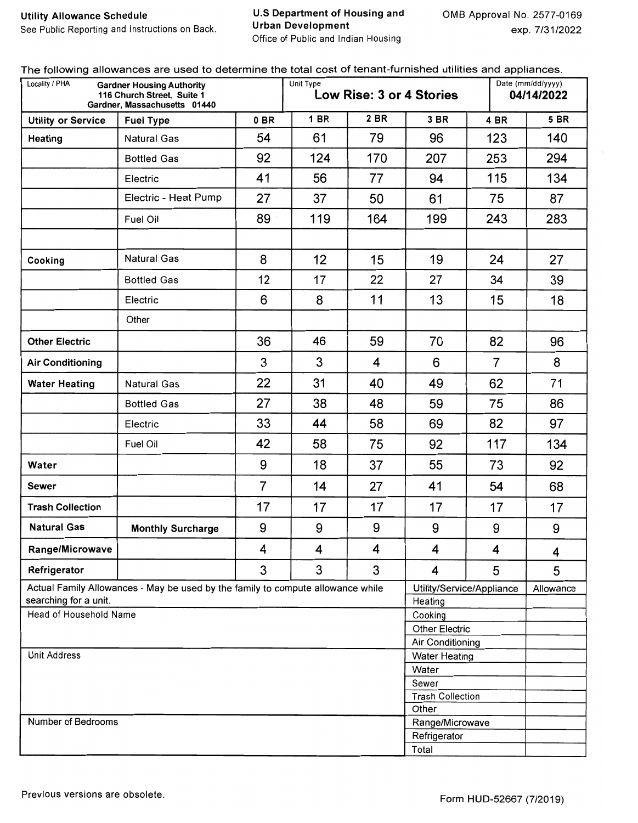#### **U.S Department of Housing and Urban Development** Office of Public and Indian Housing

| Locality / PHA                                                                                                                            | <b>Gardner Housing Authority</b><br>116 Church Street, Suite 1<br>Gardner, Massachusetts 01440 |                | Unit Type               | Low Rise: 3 or 4 Stories |                          |                           | Date (mm/dd/yyyy)<br>04/14/2022 |  |  |
|-------------------------------------------------------------------------------------------------------------------------------------------|------------------------------------------------------------------------------------------------|----------------|-------------------------|--------------------------|--------------------------|---------------------------|---------------------------------|--|--|
| <b>Utility or Service</b>                                                                                                                 | <b>Fuel Type</b>                                                                               | 0BR            | <b>1 BR</b>             | 2 BR                     | 3 BR                     | 4 BR                      | <b>5 BR</b>                     |  |  |
| Heating                                                                                                                                   | <b>Natural Gas</b>                                                                             | 54             | 61                      | 79                       | 96                       | 123                       | 140                             |  |  |
| The following allowanced are about to actommite the t<br>Cooking<br>searching for a unit.<br>Head of Household Name<br>Number of Bedrooms | <b>Bottled Gas</b>                                                                             | 92             | 124                     | 170                      | 207                      | 253                       | 294                             |  |  |
|                                                                                                                                           | Electric                                                                                       | 41             | 56                      | 77                       | 94                       | 115                       | 134                             |  |  |
|                                                                                                                                           | Electric - Heat Pump                                                                           | 27             | 37                      | 50                       | 61                       | 75                        | 87                              |  |  |
|                                                                                                                                           | Fuel Oil                                                                                       | 89             | 119                     | 164                      | 199                      | 243                       | 283                             |  |  |
|                                                                                                                                           | <b>Natural Gas</b>                                                                             | 8              | 12                      | 15                       | 19                       | 24                        | 27                              |  |  |
|                                                                                                                                           |                                                                                                |                |                         |                          |                          |                           |                                 |  |  |
|                                                                                                                                           | <b>Bottled Gas</b>                                                                             | 12             | 17                      | 22                       | 27                       | 34                        | 39                              |  |  |
|                                                                                                                                           | Electric                                                                                       | 6              | 8                       | 11                       | 13                       | 15                        | 18                              |  |  |
|                                                                                                                                           | Other                                                                                          |                |                         |                          |                          |                           |                                 |  |  |
| <b>Other Electric</b>                                                                                                                     |                                                                                                | 36             | 46                      | 59                       | 70                       | 82                        | 96                              |  |  |
| <b>Air Conditioning</b>                                                                                                                   |                                                                                                | 3              | 3                       | $\overline{\mathbf{4}}$  | 6                        | $\overline{7}$            | 8                               |  |  |
| <b>Water Heating</b>                                                                                                                      | <b>Natural Gas</b>                                                                             | 22             | 31                      | 40                       | 49                       | 62                        | 71                              |  |  |
|                                                                                                                                           | <b>Bottled Gas</b>                                                                             | 27             | 38                      | 48                       | 59                       | 75                        | 86                              |  |  |
|                                                                                                                                           | Electric                                                                                       | 33             | 44                      | 58                       | 69                       | 82                        | 97                              |  |  |
|                                                                                                                                           | Fuel Oil                                                                                       | 42             | 58                      | 75                       | 92                       | 117                       | 134                             |  |  |
| Water                                                                                                                                     |                                                                                                | 9              | 18                      | 37                       | 55                       | 73                        | 92                              |  |  |
| <b>Sewer</b>                                                                                                                              |                                                                                                | $\overline{7}$ | 14                      | 27                       | 41                       | 54                        | 68                              |  |  |
| <b>Trash Collection</b>                                                                                                                   |                                                                                                | 17             | 17                      | 17                       | 17                       | 17                        | 17                              |  |  |
| <b>Natural Gas</b>                                                                                                                        | <b>Monthly Surcharge</b>                                                                       | 9              | 9                       | 9                        | 9                        | 9                         | 9                               |  |  |
| Range/Microwave                                                                                                                           |                                                                                                | 4              | 4                       | 4                        | 4                        | 4                         | 4                               |  |  |
| Refrigerator                                                                                                                              |                                                                                                | 3              | 3                       | 3                        | 4                        | 5                         | 5                               |  |  |
|                                                                                                                                           | Actual Family Allowances - May be used by the family to compute allowance while                |                |                         |                          |                          | Utility/Service/Appliance | Allowance                       |  |  |
|                                                                                                                                           |                                                                                                |                |                         |                          | Heating<br>Cooking       |                           |                                 |  |  |
|                                                                                                                                           |                                                                                                |                |                         |                          | <b>Other Electric</b>    |                           |                                 |  |  |
|                                                                                                                                           |                                                                                                |                |                         |                          | Air Conditioning         |                           |                                 |  |  |
| Unit Address                                                                                                                              |                                                                                                |                |                         |                          | <b>Water Heating</b>     |                           |                                 |  |  |
|                                                                                                                                           |                                                                                                |                |                         |                          | Water                    |                           |                                 |  |  |
|                                                                                                                                           |                                                                                                | Sewer          |                         |                          |                          |                           |                                 |  |  |
|                                                                                                                                           |                                                                                                |                | <b>Trash Collection</b> |                          |                          |                           |                                 |  |  |
|                                                                                                                                           |                                                                                                |                |                         |                          | Other<br>Range/Microwave |                           |                                 |  |  |
|                                                                                                                                           |                                                                                                |                |                         |                          | Refrigerator             |                           |                                 |  |  |
|                                                                                                                                           |                                                                                                |                |                         |                          | Total                    |                           |                                 |  |  |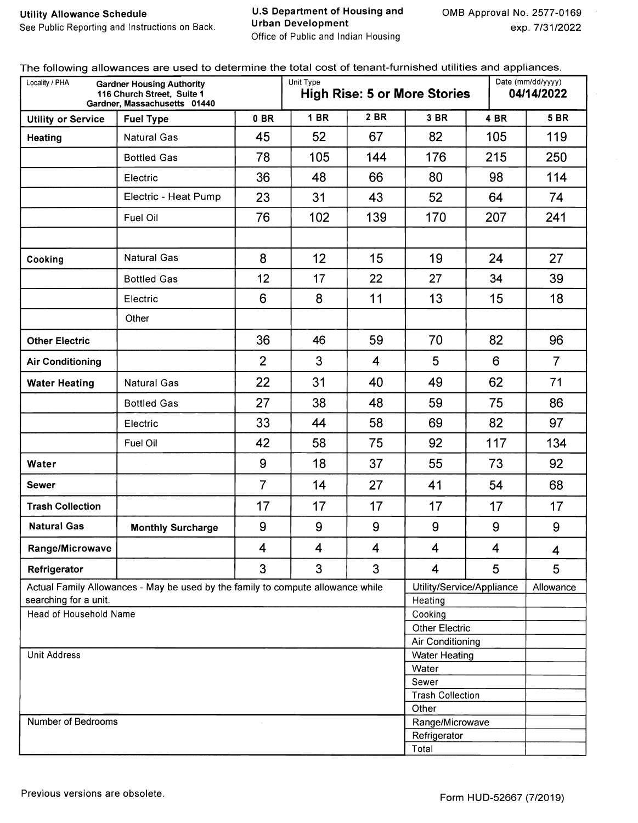**U.S Department of Housing and Urban Development** Office of Public and Indian Housing

 $\epsilon$ 

| Locality / PHA            | <b>Gardner Housing Authority</b><br>116 Church Street, Suite 1<br>Gardner, Massachusetts 01440 |                | Unit Type   |                         | <b>High Rise: 5 or More Stories</b> |                           | Date (mm/dd/yyyy)<br>04/14/2022 |
|---------------------------|------------------------------------------------------------------------------------------------|----------------|-------------|-------------------------|-------------------------------------|---------------------------|---------------------------------|
| <b>Utility or Service</b> | <b>Fuel Type</b>                                                                               | 0B             | <b>1 BR</b> | <b>2 BR</b>             | 3 BR                                | 4 BR                      | <b>5 BR</b>                     |
| Heating                   | <b>Natural Gas</b>                                                                             | 45             | 52          | 67                      | 82                                  | 105                       | 119                             |
|                           | <b>Bottled Gas</b>                                                                             | 78             | 105         | 144                     | 176                                 | 215                       | 250                             |
|                           | Electric                                                                                       | 36             | 48          | 66                      | 80                                  | 98                        | 114                             |
|                           | Electric - Heat Pump                                                                           | 23             | 31          | 43                      | 52                                  | 64                        | 74                              |
|                           | Fuel Oil                                                                                       | 76             | 102         | 139                     | 170                                 | 207                       | 241                             |
| Cooking                   | <b>Natural Gas</b>                                                                             | 8              | 12          | 15                      | 19                                  | 24                        | 27                              |
|                           |                                                                                                | 12             | 17          |                         | 27                                  | 34                        |                                 |
|                           | <b>Bottled Gas</b>                                                                             |                |             | 22                      |                                     |                           | 39                              |
|                           | Electric                                                                                       | 6              | 8           | 11                      | 13                                  | 15                        | 18                              |
|                           | Other                                                                                          |                |             |                         |                                     |                           |                                 |
| <b>Other Electric</b>     |                                                                                                | 36             | 46          | 59                      | 70                                  | 82                        | 96                              |
| <b>Air Conditioning</b>   |                                                                                                | $\overline{2}$ | 3           | $\overline{4}$          | 5                                   | 6                         | $\overline{7}$                  |
| <b>Water Heating</b>      | Natural Gas                                                                                    | 22             | 31          | 40                      | 49                                  | 62                        | 71                              |
|                           | <b>Bottled Gas</b>                                                                             | 27             | 38          | 48                      | 59                                  | 75                        | 86                              |
|                           | Electric                                                                                       | 33             | 44          | 58                      | 69                                  | 82                        | 97                              |
|                           | Fuel Oil                                                                                       | 42             | 58          | 75                      | 92                                  | 117                       | 134                             |
| Water                     |                                                                                                | 9              | 18          | 37                      | 55                                  | 73                        | 92                              |
| <b>Sewer</b>              |                                                                                                | $\overline{7}$ | 14          | 27                      | 41                                  | 54                        | 68                              |
| <b>Trash Collection</b>   |                                                                                                | 17             | 17          | 17                      | 17                                  | 17                        | 17                              |
| <b>Natural Gas</b>        | <b>Monthly Surcharge</b>                                                                       | 9              | 9           | 9                       | 9                                   | 9                         | 9                               |
| Range/Microwave           |                                                                                                | 4              | 4           | $\overline{\mathbf{4}}$ | $\boldsymbol{4}$                    | $\overline{\mathbf{4}}$   | 4                               |
| Refrigerator              |                                                                                                | 3              | 3           | 3                       | $\overline{\mathbf{4}}$             | 5                         | 5                               |
| searching for a unit.     | Actual Family Allowances - May be used by the family to compute allowance while                |                |             |                         | Heating                             | Utility/Service/Appliance | Allowance                       |
| Head of Household Name    |                                                                                                |                |             |                         | Cooking                             |                           |                                 |
|                           |                                                                                                |                |             |                         | Other Electric<br>Air Conditioning  |                           |                                 |
| <b>Unit Address</b>       |                                                                                                |                |             |                         | <b>Water Heating</b>                |                           |                                 |
|                           |                                                                                                |                |             |                         | Water                               |                           |                                 |
|                           |                                                                                                |                |             |                         | Sewer                               |                           |                                 |
|                           |                                                                                                |                |             |                         | <b>Trash Collection</b>             |                           |                                 |
| Number of Bedrooms        |                                                                                                |                |             |                         | Other                               |                           |                                 |
|                           |                                                                                                |                |             |                         | Range/Microwave<br>Refrigerator     |                           |                                 |
|                           |                                                                                                |                |             |                         | Total                               |                           |                                 |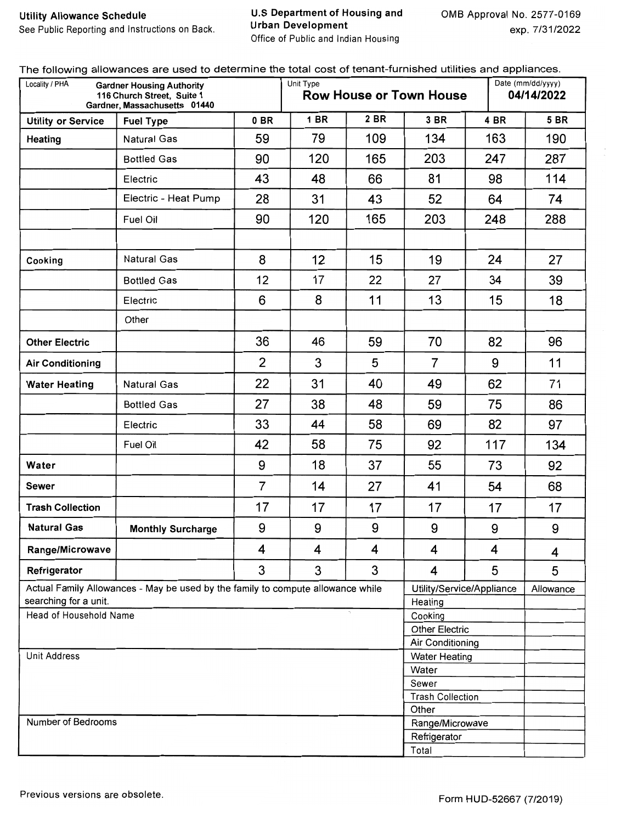#### U.S Department of Housing and **Urban Development** Office of Public and Indian Housing

| Locality / PHA                                  | The following allowarious are assurant to an and<br><b>Gardner Housing Authority</b><br>116 Church Street, Suite 1<br>Gardner, Massachusetts 01440 |                | Unit Type                        |      | <b>Row House or Town House</b> | $S_{\rm P}$ $S_{\rm P}$   | Date (mm/dd/yyyy)<br>04/14/2022 |  |  |
|-------------------------------------------------|----------------------------------------------------------------------------------------------------------------------------------------------------|----------------|----------------------------------|------|--------------------------------|---------------------------|---------------------------------|--|--|
| <b>Utility or Service</b>                       | <b>Fuel Type</b>                                                                                                                                   | $0$ BR         | <b>1 BR</b>                      | 2 BR | 3 BR                           | 4 BR                      | <b>5 BR</b>                     |  |  |
| Heating                                         | <b>Natural Gas</b>                                                                                                                                 | 59             | 79                               | 109  | 134                            | 163                       | 190                             |  |  |
|                                                 | <b>Bottled Gas</b>                                                                                                                                 | 90             | 120                              | 165  | 203                            | 247                       | 287                             |  |  |
|                                                 | Electric                                                                                                                                           | 43             | 48                               | 66   | 81                             | 98                        | 114                             |  |  |
|                                                 | Electric - Heat Pump                                                                                                                               | 28             | 31                               | 43   | 52                             | 64                        | 74                              |  |  |
|                                                 | Fuel Oil                                                                                                                                           | 90             | 120                              | 165  | 203                            | 248                       | 288                             |  |  |
|                                                 |                                                                                                                                                    |                |                                  |      |                                |                           |                                 |  |  |
| Cooking                                         | <b>Natural Gas</b>                                                                                                                                 | 8              | 12                               | 15   | 19                             | 24                        | 27                              |  |  |
|                                                 | <b>Bottled Gas</b>                                                                                                                                 | 12             | 17                               | 22   | 27                             | 34                        | 39                              |  |  |
|                                                 | Electric                                                                                                                                           | 6              | 8                                | 11   | 13                             | 15                        | 18                              |  |  |
|                                                 | Other                                                                                                                                              |                |                                  |      |                                |                           |                                 |  |  |
| <b>Other Electric</b>                           |                                                                                                                                                    |                | 46                               | 59   | 70                             | 82                        | 96                              |  |  |
| <b>Air Conditioning</b>                         |                                                                                                                                                    | $\overline{2}$ | 3                                | 5    | $\overline{7}$                 | 9                         | 11                              |  |  |
| <b>Water Heating</b>                            | <b>Natural Gas</b>                                                                                                                                 | 22             | 31                               | 40   | 49                             | 62                        | 71                              |  |  |
|                                                 | <b>Bottled Gas</b>                                                                                                                                 | 27             | 38                               | 48   | 59                             | 75                        | 86                              |  |  |
|                                                 | Electric                                                                                                                                           | 33             | 44                               | 58   | 69                             | 82                        | 97                              |  |  |
|                                                 | Fuel Oil                                                                                                                                           | 42             | 58                               | 75   |                                | 117                       | 134                             |  |  |
| Water                                           |                                                                                                                                                    | 9              | 18                               | 37   | 55                             | 73                        | 92                              |  |  |
| Sewer                                           |                                                                                                                                                    | $\overline{7}$ | 14                               | 27   | 41                             | 54                        | 68                              |  |  |
| <b>Trash Collection</b>                         |                                                                                                                                                    | 17             | 17                               | 17   | 17                             | 17                        | 17                              |  |  |
| <b>Natural Gas</b>                              | <b>Monthly Surcharge</b>                                                                                                                           | 9              | 9                                | 9    | 9                              | 9                         | 9                               |  |  |
| Range/Microwave                                 |                                                                                                                                                    | 4              | 4                                | 4    | $\overline{\mathbf{4}}$        | $\overline{\mathbf{4}}$   | $\overline{\mathbf{4}}$         |  |  |
| Refrigerator                                    |                                                                                                                                                    | 3              | 3                                | 3    | 4                              | 5                         | 5                               |  |  |
|                                                 | Actual Family Allowances - May be used by the family to compute allowance while                                                                    |                |                                  |      |                                | Utility/Service/Appliance | Allowance                       |  |  |
| searching for a unit.<br>Head of Household Name |                                                                                                                                                    |                |                                  |      | Heating<br>Cooking             |                           |                                 |  |  |
|                                                 |                                                                                                                                                    |                |                                  |      | <b>Other Electric</b>          |                           |                                 |  |  |
|                                                 |                                                                                                                                                    |                |                                  |      | Air Conditioning               |                           |                                 |  |  |
| Unit Address                                    |                                                                                                                                                    |                |                                  |      | <b>Water Heating</b>           |                           |                                 |  |  |
|                                                 |                                                                                                                                                    |                |                                  |      | Water                          |                           |                                 |  |  |
|                                                 |                                                                                                                                                    |                | Sewer<br><b>Trash Collection</b> |      |                                |                           |                                 |  |  |
|                                                 |                                                                                                                                                    | Other          |                                  |      |                                |                           |                                 |  |  |
| Number of Bedrooms                              |                                                                                                                                                    |                |                                  |      | Range/Microwave                |                           |                                 |  |  |
|                                                 |                                                                                                                                                    |                |                                  |      | Refrigerator                   |                           |                                 |  |  |
|                                                 |                                                                                                                                                    |                |                                  |      | Total                          |                           |                                 |  |  |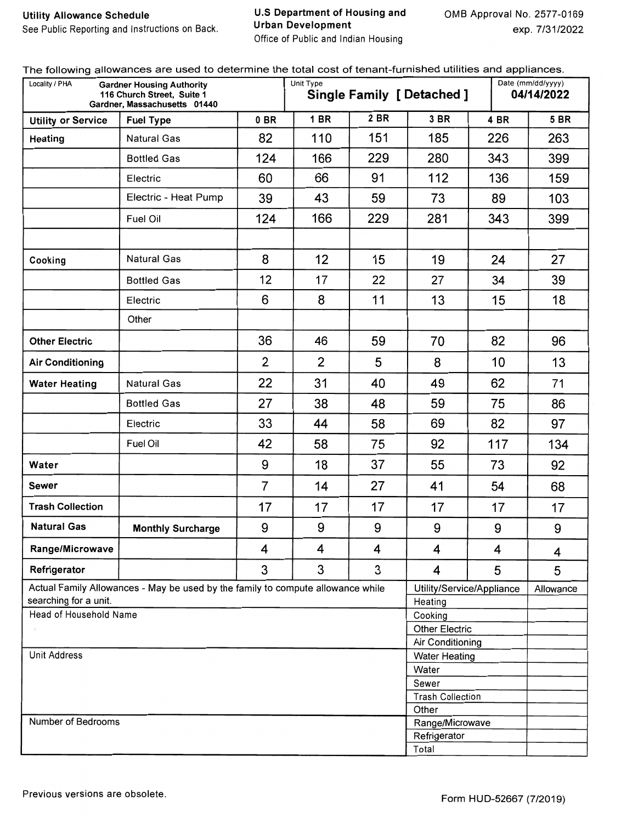U.S Department of Housing and **Urban Development** Office of Public and Indian Housing

| Locality / PHA            | <b>Gardner Housing Authority</b><br>116 Church Street. Suite 1<br>Gardner. Massachusetts 01440 |                | Unit Type                        |      | <b>Single Family [ Detached ]</b>        |      | Date (mm/dd/yyyy)<br>04/14/2022 |  |  |
|---------------------------|------------------------------------------------------------------------------------------------|----------------|----------------------------------|------|------------------------------------------|------|---------------------------------|--|--|
| <b>Utility or Service</b> | <b>Fuel Type</b>                                                                               | 0 BR           | <b>1 BR</b>                      | 2 BR | 3 BR                                     | 4 BR | <b>5 BR</b>                     |  |  |
| Heating                   | <b>Natural Gas</b>                                                                             | 82             | 110                              | 151  | 185                                      | 226  | 263                             |  |  |
|                           | <b>Bottled Gas</b>                                                                             | 124            | 166                              | 229  | 280                                      | 343  | 399                             |  |  |
|                           | Electric                                                                                       | 60             | 66                               | 91   | 112                                      | 136  | 159                             |  |  |
|                           | Electric - Heat Pump                                                                           | 39             | 43                               | 59   | 73                                       | 89   | 103                             |  |  |
|                           | Fuel Oil                                                                                       | 124            | 166                              | 229  | 281                                      | 343  | 399                             |  |  |
|                           | <b>Natural Gas</b>                                                                             | 8              | 12                               | 15   | 19                                       |      |                                 |  |  |
| Cooking                   |                                                                                                |                |                                  |      |                                          | 24   | 27                              |  |  |
|                           | <b>Bottled Gas</b>                                                                             | 12             | 17                               | 22   | 27                                       | 34   | 39                              |  |  |
|                           | Electric                                                                                       | 6              | 8                                | 11   | 13                                       | 15   | 18                              |  |  |
|                           | Other                                                                                          |                |                                  |      |                                          |      |                                 |  |  |
| <b>Other Electric</b>     |                                                                                                | 36             | 46                               | 59   | 70                                       | 82   | 96                              |  |  |
| <b>Air Conditioning</b>   |                                                                                                | $\overline{2}$ | 2                                | 5    | 8                                        | 10   | 13                              |  |  |
| <b>Water Heating</b>      | <b>Natural Gas</b>                                                                             | 22             | 31                               | 40   | 49                                       | 62   | 71                              |  |  |
|                           | <b>Bottled Gas</b>                                                                             | 27             | 38                               | 48   | 59                                       | 75   | 86                              |  |  |
|                           | Electric                                                                                       | 33             | 44                               | 58   | 69                                       | 82   | 97                              |  |  |
|                           | Fuel Oil                                                                                       | 42             | 58                               | 75   | 92                                       | 117  | 134                             |  |  |
| Water                     |                                                                                                | 9              | 18                               | 37   | 55                                       | 73   | 92                              |  |  |
| Sewer                     |                                                                                                | $\overline{7}$ | 14                               | 27   | 41                                       | 54   | 68                              |  |  |
| <b>Trash Collection</b>   |                                                                                                | 17             | 17                               | 17   | 17                                       | 17   | 17                              |  |  |
| <b>Natural Gas</b>        | <b>Monthly Surcharge</b>                                                                       | 9              | 9                                | 9    | 9                                        | 9    | 9                               |  |  |
| Range/Microwave           |                                                                                                | 4              | 4                                | 4    | 4                                        | 4    | 4                               |  |  |
| Refrigerator              |                                                                                                | 3              | 3                                | 3    | 4                                        | 5    | 5                               |  |  |
| searching for a unit.     | Actual Family Allowances - May be used by the family to compute allowance while                |                |                                  |      | Utility/Service/Appliance<br>Heating     |      | Allowance                       |  |  |
| Head of Household Name    |                                                                                                |                |                                  |      | Cooking                                  |      |                                 |  |  |
|                           |                                                                                                |                |                                  |      | <b>Other Electric</b>                    |      |                                 |  |  |
| <b>Unit Address</b>       |                                                                                                |                |                                  |      | Air Conditioning<br><b>Water Heating</b> |      |                                 |  |  |
|                           |                                                                                                |                |                                  |      | Water                                    |      |                                 |  |  |
|                           |                                                                                                |                | Sewer                            |      |                                          |      |                                 |  |  |
|                           |                                                                                                |                | <b>Trash Collection</b><br>Other |      |                                          |      |                                 |  |  |
| Number of Bedrooms        |                                                                                                |                |                                  |      | Range/Microwave                          |      |                                 |  |  |
|                           |                                                                                                |                |                                  |      | Refrigerator                             |      |                                 |  |  |
|                           |                                                                                                |                |                                  |      | Total                                    |      |                                 |  |  |